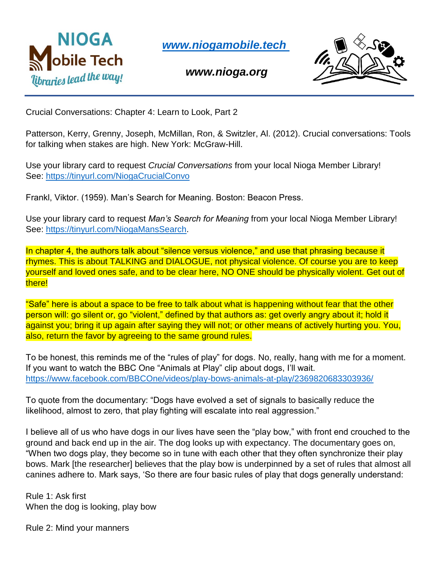

*[www.niogamobile.tech](http://www.niogamobile.tech/)*

*www.nioga.org*



Crucial Conversations: Chapter 4: Learn to Look, Part 2

Patterson, Kerry, Grenny, Joseph, McMillan, Ron, & Switzler, Al. (2012). Crucial conversations: Tools for talking when stakes are high. New York: McGraw-Hill.

Use your library card to request *Crucial Conversations* from your local Nioga Member Library! See:<https://tinyurl.com/NiogaCrucialConvo>

Frankl, Viktor. (1959). Man's Search for Meaning. Boston: Beacon Press.

Use your library card to request *Man's Search for Meaning* from your local Nioga Member Library! See: [https://tinyurl.com/NiogaMansSearch.](https://tinyurl.com/NiogaMansSearch)

In chapter 4, the authors talk about "silence versus violence," and use that phrasing because it rhymes. This is about TALKING and DIALOGUE, not physical violence. Of course you are to keep yourself and loved ones safe, and to be clear here, NO ONE should be physically violent. Get out of there!

"Safe" here is about a space to be free to talk about what is happening without fear that the other person will: go silent or, go "violent," defined by that authors as: get overly angry about it; hold it against you; bring it up again after saying they will not; or other means of actively hurting you. You, also, return the favor by agreeing to the same ground rules.

To be honest, this reminds me of the "rules of play" for dogs. No, really, hang with me for a moment. If you want to watch the BBC One "Animals at Play" clip about dogs, I'll wait. <https://www.facebook.com/BBCOne/videos/play-bows-animals-at-play/2369820683303936/>

To quote from the documentary: "Dogs have evolved a set of signals to basically reduce the likelihood, almost to zero, that play fighting will escalate into real aggression."

I believe all of us who have dogs in our lives have seen the "play bow," with front end crouched to the ground and back end up in the air. The dog looks up with expectancy. The documentary goes on, "When two dogs play, they become so in tune with each other that they often synchronize their play bows. Mark [the researcher] believes that the play bow is underpinned by a set of rules that almost all canines adhere to. Mark says, 'So there are four basic rules of play that dogs generally understand:

Rule 1: Ask first When the dog is looking, play bow

Rule 2: Mind your manners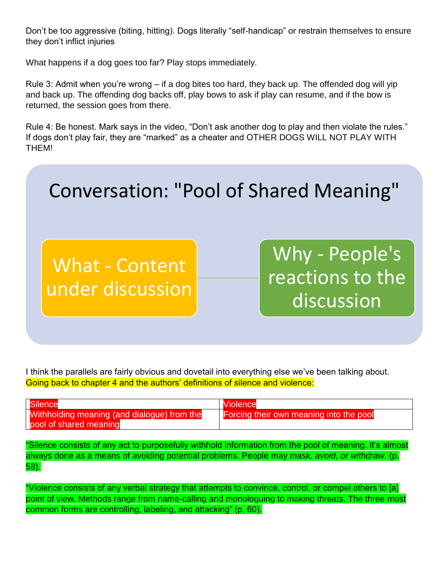Don't be too aggressive (biting, hitting). Dogs literally "self-handicap" or restrain themselves to ensure they don't inflict injuries

What happens if a dog goes too far? Play stops immediately.

Rule 3: Admit when you're wrong – if a dog bites too hard, they back up. The offended dog will yip and back up. The offending dog backs off, play bows to ask if play can resume, and if the bow is returned, the session goes from there.

Rule 4: Be honest. Mark says in the video, "Don't ask another dog to play and then violate the rules." If dogs don't play fair, they are "marked" as a cheater and OTHER DOGS WILL NOT PLAY WITH THEM!



I think the parallels are fairly obvious and dovetail into everything else we've been talking about. Going back to chapter 4 and the authors' definitions of silence and violence:

| Silence                                     | <b>Niolence</b>                         |
|---------------------------------------------|-----------------------------------------|
| Withholding meaning (and dialogue) from the | Forcing their own meaning into the pool |
| pool of shared meaning                      |                                         |

"Silence consists of any act to purposefully withhold information from the pool of meaning. It's almost always done as a means of avoiding potential problems. People may *mask, avoid, or withdraw*. (p. 58).

"Violence consists of any verbal strategy that attempts to convince, control, or compel others to [a] point of view. Methods range from name-calling and monologuing to making threats. The three most common forms are controlling, labeling, and attacking" (p. 60).